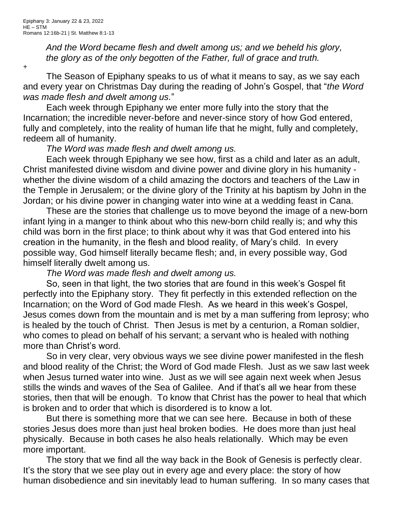*And the Word became flesh and dwelt among us; and we beheld his glory, the glory as of the only begotten of the Father, full of grace and truth.*

+

The Season of Epiphany speaks to us of what it means to say, as we say each and every year on Christmas Day during the reading of John's Gospel, that "*the Word was made flesh and dwelt among us.*"

Each week through Epiphany we enter more fully into the story that the Incarnation; the incredible never-before and never-since story of how God entered, fully and completely, into the reality of human life that he might, fully and completely, redeem all of humanity.

*The Word was made flesh and dwelt among us.*

Each week through Epiphany we see how, first as a child and later as an adult, Christ manifested divine wisdom and divine power and divine glory in his humanity whether the divine wisdom of a child amazing the doctors and teachers of the Law in the Temple in Jerusalem; or the divine glory of the Trinity at his baptism by John in the Jordan; or his divine power in changing water into wine at a wedding feast in Cana.

These are the stories that challenge us to move beyond the image of a new-born infant lying in a manger to think about who this new-born child really is; and why this child was born in the first place; to think about why it was that God entered into his creation in the humanity, in the flesh and blood reality, of Mary's child. In every possible way, God himself literally became flesh; and, in every possible way, God himself literally dwelt among us.

*The Word was made flesh and dwelt among us.*

So, seen in that light, the two stories that are found in this week's Gospel fit perfectly into the Epiphany story. They fit perfectly in this extended reflection on the Incarnation; on the Word of God made Flesh. As we heard in this week's Gospel, Jesus comes down from the mountain and is met by a man suffering from leprosy; who is healed by the touch of Christ. Then Jesus is met by a centurion, a Roman soldier, who comes to plead on behalf of his servant; a servant who is healed with nothing more than Christ's word.

So in very clear, very obvious ways we see divine power manifested in the flesh and blood reality of the Christ; the Word of God made Flesh. Just as we saw last week when Jesus turned water into wine. Just as we will see again next week when Jesus stills the winds and waves of the Sea of Galilee. And if that's all we hear from these stories, then that will be enough. To know that Christ has the power to heal that which is broken and to order that which is disordered is to know a lot.

But there is something more that we can see here. Because in both of these stories Jesus does more than just heal broken bodies. He does more than just heal physically. Because in both cases he also heals relationally. Which may be even more important.

The story that we find all the way back in the Book of Genesis is perfectly clear. It's the story that we see play out in every age and every place: the story of how human disobedience and sin inevitably lead to human suffering. In so many cases that